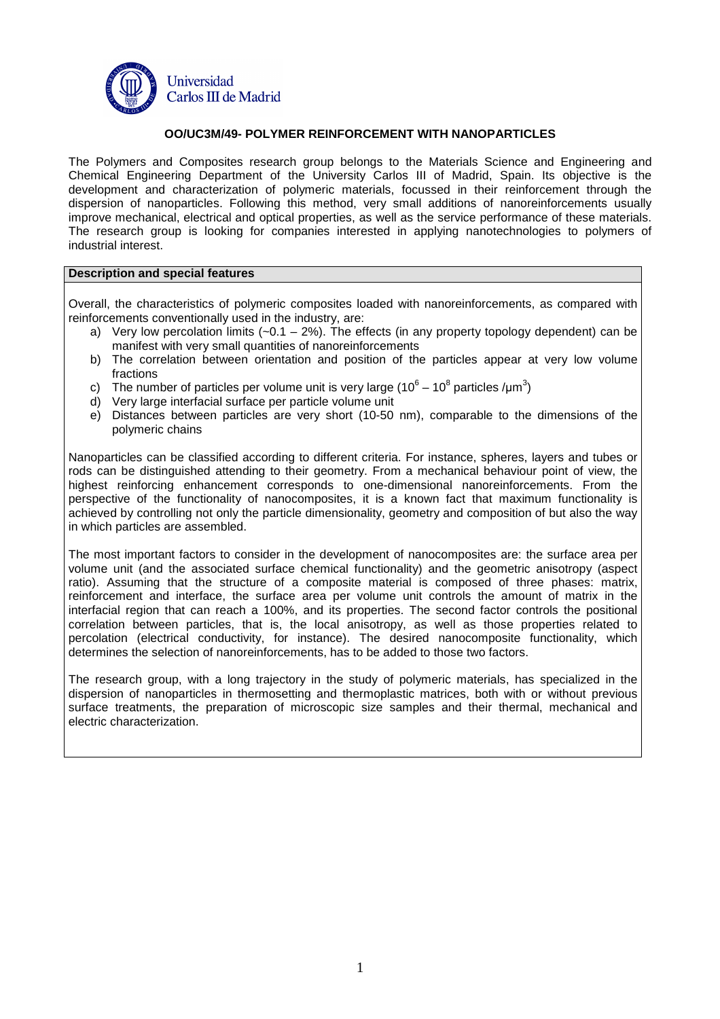

## **OO/UC3M/49- POLYMER REINFORCEMENT WITH NANOPARTICLES**

The Polymers and Composites research group belongs to the Materials Science and Engineering and Chemical Engineering Department of the University Carlos III of Madrid, Spain. Its objective is the development and characterization of polymeric materials, focussed in their reinforcement through the dispersion of nanoparticles. Following this method, very small additions of nanoreinforcements usually improve mechanical, electrical and optical properties, as well as the service performance of these materials. The research group is looking for companies interested in applying nanotechnologies to polymers of industrial interest.

## **Description and special features**

Overall, the characteristics of polymeric composites loaded with nanoreinforcements, as compared with reinforcements conventionally used in the industry, are:

- a) Very low percolation limits  $(-0.1 2\%)$ . The effects (in any property topology dependent) can be manifest with very small quantities of nanoreinforcements
- b) The correlation between orientation and position of the particles appear at very low volume fractions
- c) The number of particles per volume unit is very large (10<sup>6</sup> 10<sup>8</sup> particles /µm<sup>3</sup>)
- d) Very large interfacial surface per particle volume unit
- e) Distances between particles are very short (10-50 nm), comparable to the dimensions of the polymeric chains

Nanoparticles can be classified according to different criteria. For instance, spheres, layers and tubes or rods can be distinguished attending to their geometry. From a mechanical behaviour point of view, the highest reinforcing enhancement corresponds to one-dimensional nanoreinforcements. From the perspective of the functionality of nanocomposites, it is a known fact that maximum functionality is achieved by controlling not only the particle dimensionality, geometry and composition of but also the way in which particles are assembled.

The most important factors to consider in the development of nanocomposites are: the surface area per volume unit (and the associated surface chemical functionality) and the geometric anisotropy (aspect ratio). Assuming that the structure of a composite material is composed of three phases: matrix, reinforcement and interface, the surface area per volume unit controls the amount of matrix in the interfacial region that can reach a 100%, and its properties. The second factor controls the positional correlation between particles, that is, the local anisotropy, as well as those properties related to percolation (electrical conductivity, for instance). The desired nanocomposite functionality, which determines the selection of nanoreinforcements, has to be added to those two factors.

The research group, with a long trajectory in the study of polymeric materials, has specialized in the dispersion of nanoparticles in thermosetting and thermoplastic matrices, both with or without previous surface treatments, the preparation of microscopic size samples and their thermal, mechanical and electric characterization.